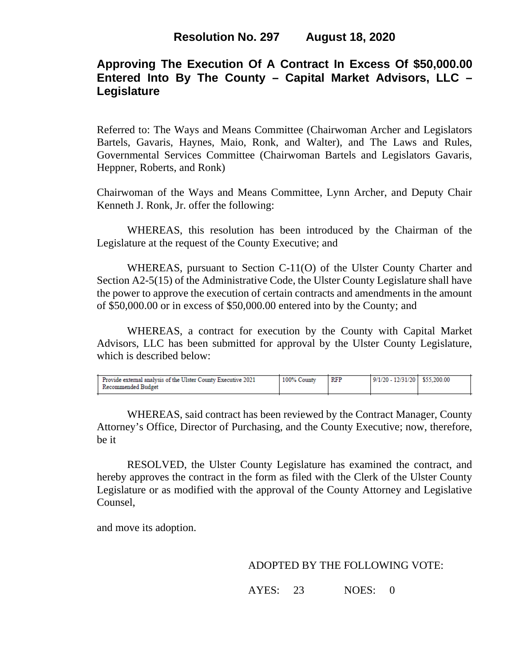# **Approving The Execution Of A Contract In Excess Of \$50,000.00 Entered Into By The County – Capital Market Advisors, LLC – Legislature**

Referred to: The Ways and Means Committee (Chairwoman Archer and Legislators Bartels, Gavaris, Haynes, Maio, Ronk, and Walter), and The Laws and Rules, Governmental Services Committee (Chairwoman Bartels and Legislators Gavaris, Heppner, Roberts, and Ronk)

Chairwoman of the Ways and Means Committee, Lynn Archer, and Deputy Chair Kenneth J. Ronk, Jr. offer the following:

WHEREAS, this resolution has been introduced by the Chairman of the Legislature at the request of the County Executive; and

WHEREAS, pursuant to Section C-11(O) of the Ulster County Charter and Section A2-5(15) of the Administrative Code, the Ulster County Legislature shall have the power to approve the execution of certain contracts and amendments in the amount of \$50,000.00 or in excess of \$50,000.00 entered into by the County; and

WHEREAS, a contract for execution by the County with Capital Market Advisors, LLC has been submitted for approval by the Ulster County Legislature, which is described below:

| 9/1/20 - 12/31/20   \$55.200.00<br><b>RFP</b><br>100% County<br><b>Provide external analysis of the Ulster County Executive 2021</b><br>Recommended Budget |  |  |  |
|------------------------------------------------------------------------------------------------------------------------------------------------------------|--|--|--|
|                                                                                                                                                            |  |  |  |

WHEREAS, said contract has been reviewed by the Contract Manager, County Attorney's Office, Director of Purchasing, and the County Executive; now, therefore, be it

RESOLVED, the Ulster County Legislature has examined the contract, and hereby approves the contract in the form as filed with the Clerk of the Ulster County Legislature or as modified with the approval of the County Attorney and Legislative Counsel,

and move its adoption.

### ADOPTED BY THE FOLLOWING VOTE:

AYES: 23 NOES: 0